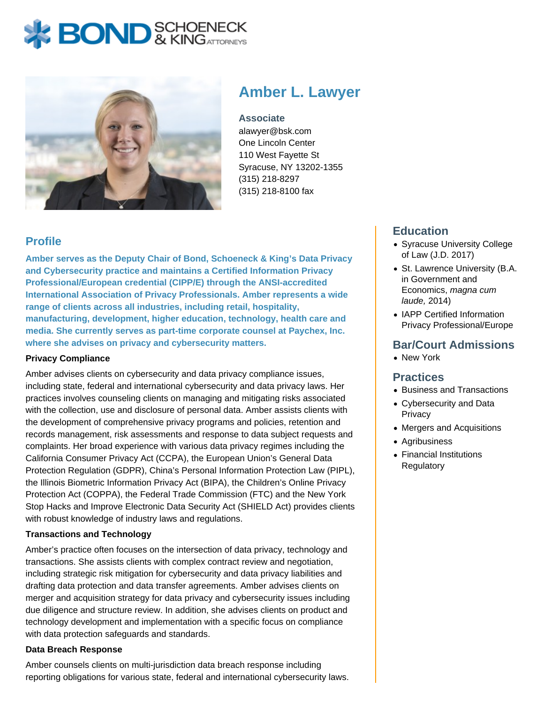# **BOND** & KING ATTORNECK



## **Amber L. Lawyer**

**Associate** alawyer@bsk.com One Lincoln Center 110 West Fayette St Syracuse, NY 13202-1355 (315) 218-8297 (315) 218-8100 fax

## **Profile**

**Amber serves as the Deputy Chair of Bond, Schoeneck & King's Data Privacy and Cybersecurity practice and maintains a Certified Information Privacy Professional/European credential (CIPP/E) through the ANSI-accredited International Association of Privacy Professionals. Amber represents a wide range of clients across all industries, including retail, hospitality, manufacturing, development, higher education, technology, health care and media. She currently serves as part-time corporate counsel at Paychex, Inc. where she advises on privacy and cybersecurity matters.** 

#### **Privacy Compliance**

Amber advises clients on cybersecurity and data privacy compliance issues, including state, federal and international cybersecurity and data privacy laws. Her practices involves counseling clients on managing and mitigating risks associated with the collection, use and disclosure of personal data. Amber assists clients with the development of comprehensive privacy programs and policies, retention and records management, risk assessments and response to data subject requests and complaints. Her broad experience with various data privacy regimes including the California Consumer Privacy Act (CCPA), the European Union's General Data Protection Regulation (GDPR), China's Personal Information Protection Law (PIPL), the Illinois Biometric Information Privacy Act (BIPA), the Children's Online Privacy Protection Act (COPPA), the Federal Trade Commission (FTC) and the New York Stop Hacks and Improve Electronic Data Security Act (SHIELD Act) provides clients with robust knowledge of industry laws and regulations.

#### **Transactions and Technology**

Amber's practice often focuses on the intersection of data privacy, technology and transactions. She assists clients with complex contract review and negotiation, including strategic risk mitigation for cybersecurity and data privacy liabilities and drafting data protection and data transfer agreements. Amber advises clients on merger and acquisition strategy for data privacy and cybersecurity issues including due diligence and structure review. In addition, she advises clients on product and technology development and implementation with a specific focus on compliance with data protection safeguards and standards.

#### **Data Breach Response**

Amber counsels clients on multi-jurisdiction data breach response including reporting obligations for various state, federal and international cybersecurity laws.

## **Education**

- Syracuse University College of Law (J.D. 2017)
- St. Lawrence University (B.A. in Government and Economics, magna cum laude, 2014)
- IAPP Certified Information Privacy Professional/Europe

## **Bar/Court Admissions**

• New York

#### **Practices**

- Business and Transactions
- Cybersecurity and Data **Privacy**
- Mergers and Acquisitions
- Agribusiness
- Financial Institutions Regulatory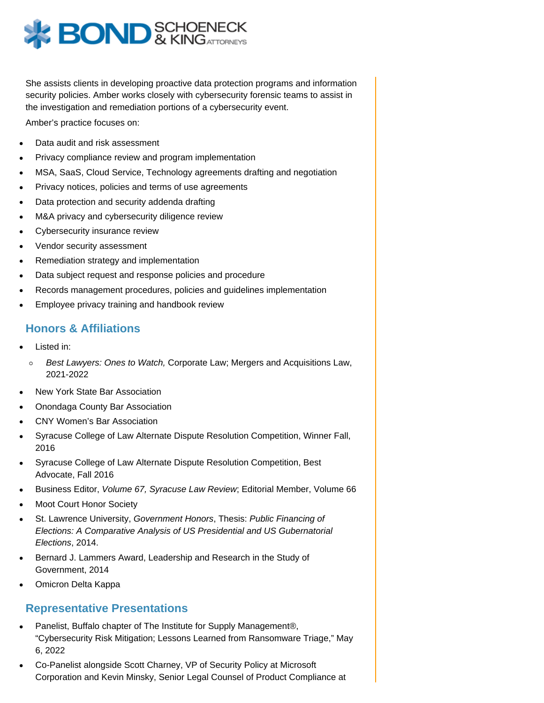

She assists clients in developing proactive data protection programs and information security policies. Amber works closely with cybersecurity forensic teams to assist in the investigation and remediation portions of a cybersecurity event.

Amber's practice focuses on:

- Data audit and risk assessment
- Privacy compliance review and program implementation
- MSA, SaaS, Cloud Service, Technology agreements drafting and negotiation
- Privacy notices, policies and terms of use agreements
- Data protection and security addenda drafting
- M&A privacy and cybersecurity diligence review
- Cybersecurity insurance review
- Vendor security assessment
- Remediation strategy and implementation
- Data subject request and response policies and procedure
- Records management procedures, policies and guidelines implementation
- Employee privacy training and handbook review

## **Honors & Affiliations**

- Listed in:
	- Best Lawyers: Ones to Watch, Corporate Law; Mergers and Acquisitions Law,  $\circ$ 2021-2022
- New York State Bar Association
- Onondaga County Bar Association
- CNY Women's Bar Association
- Syracuse College of Law Alternate Dispute Resolution Competition, Winner Fall, 2016
- Syracuse College of Law Alternate Dispute Resolution Competition, Best Advocate, Fall 2016
- Business Editor, Volume 67, Syracuse Law Review; Editorial Member, Volume 66
- Moot Court Honor Society
- St. Lawrence University, Government Honors, Thesis: Public Financing of Elections: A Comparative Analysis of US Presidential and US Gubernatorial Elections, 2014.
- Bernard J. Lammers Award, Leadership and Research in the Study of Government, 2014
- Omicron Delta Kappa

#### **Representative Presentations**

- Panelist, Buffalo chapter of The Institute for Supply Management®, "Cybersecurity Risk Mitigation; Lessons Learned from Ransomware Triage," May 6, 2022
- Co-Panelist alongside Scott Charney, VP of Security Policy at Microsoft Corporation and Kevin Minsky, Senior Legal Counsel of Product Compliance at